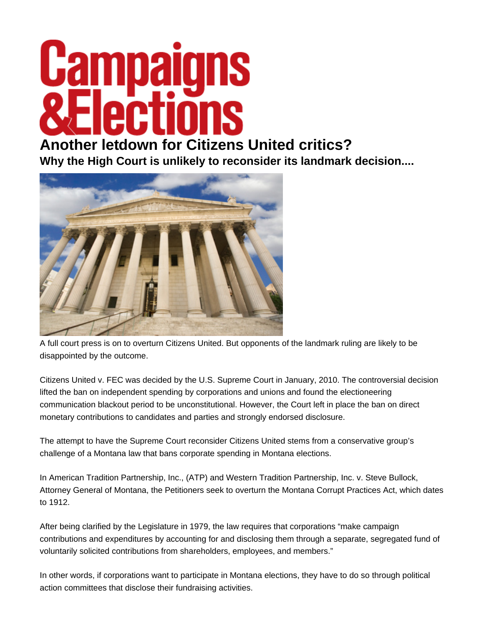## **Gambalo** rtinns

## **[Another letdown for Citizens U](http://www.campaignsandelections.com/)nited critics?**

**Why the High Court is unlikely to reconsider its landmark decision....** 



A full court press is on to overturn Citizens United. But opponents of the landmark ruling are likely to be disappointed by the outcome.

Citizens United v. FEC was decided by the U.S. Supreme Court in January, 2010. The controversial decision lifted the ban on independent spending by corporations and unions and found the electioneering communication blackout period to be unconstitutional. However, the Court left in place the ban on direct monetary contributions to candidates and parties and strongly endorsed disclosure.

The attempt to have the Supreme Court reconsider Citizens United stems from a conservative group's challenge of a Montana law that bans corporate spending in Montana elections.

In American Tradition Partnership, Inc., (ATP) and Western Tradition Partnership, Inc. v. Steve Bullock, Attorney General of Montana, the Petitioners seek to overturn the Montana Corrupt Practices Act, which dates to 1912.

After being clarified by the Legislature in 1979, the law requires that corporations "make campaign contributions and expenditures by accounting for and disclosing them through a separate, segregated fund of voluntarily solicited contributions from shareholders, employees, and members."

In other words, if corporations want to participate in Montana elections, they have to do so through political action committees that disclose their fundraising activities.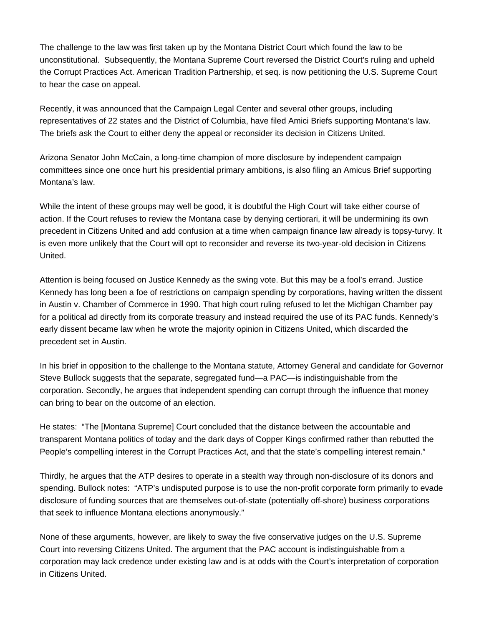The challenge to the law was first taken up by the Montana District Court which found the law to be unconstitutional. Subsequently, the Montana Supreme Court reversed the District Court's ruling and upheld the Corrupt Practices Act. American Tradition Partnership, et seq. is now petitioning the U.S. Supreme Court to hear the case on appeal.

Recently, it was announced that the Campaign Legal Center and several other groups, including representatives of 22 states and the District of Columbia, have filed Amici Briefs supporting Montana's law. The briefs ask the Court to either deny the appeal or reconsider its decision in Citizens United.

Arizona Senator John McCain, a long-time champion of more disclosure by independent campaign committees since one once hurt his presidential primary ambitions, is also filing an Amicus Brief supporting Montana's law.

While the intent of these groups may well be good, it is doubtful the High Court will take either course of action. If the Court refuses to review the Montana case by denying certiorari, it will be undermining its own precedent in Citizens United and add confusion at a time when campaign finance law already is topsy-turvy. It is even more unlikely that the Court will opt to reconsider and reverse its two-year-old decision in Citizens United.

Attention is being focused on Justice Kennedy as the swing vote. But this may be a fool's errand. Justice Kennedy has long been a foe of restrictions on campaign spending by corporations, having written the dissent in Austin v. Chamber of Commerce in 1990. That high court ruling refused to let the Michigan Chamber pay for a political ad directly from its corporate treasury and instead required the use of its PAC funds. Kennedy's early dissent became law when he wrote the majority opinion in Citizens United, which discarded the precedent set in Austin.

In his brief in opposition to the challenge to the Montana statute, Attorney General and candidate for Governor Steve Bullock suggests that the separate, segregated fund—a PAC—is indistinguishable from the corporation. Secondly, he argues that independent spending can corrupt through the influence that money can bring to bear on the outcome of an election.

He states: "The [Montana Supreme] Court concluded that the distance between the accountable and transparent Montana politics of today and the dark days of Copper Kings confirmed rather than rebutted the People's compelling interest in the Corrupt Practices Act, and that the state's compelling interest remain."

Thirdly, he argues that the ATP desires to operate in a stealth way through non-disclosure of its donors and spending. Bullock notes: "ATP's undisputed purpose is to use the non-profit corporate form primarily to evade disclosure of funding sources that are themselves out-of-state (potentially off-shore) business corporations that seek to influence Montana elections anonymously."

None of these arguments, however, are likely to sway the five conservative judges on the U.S. Supreme Court into reversing Citizens United. The argument that the PAC account is indistinguishable from a corporation may lack credence under existing law and is at odds with the Court's interpretation of corporation in Citizens United.